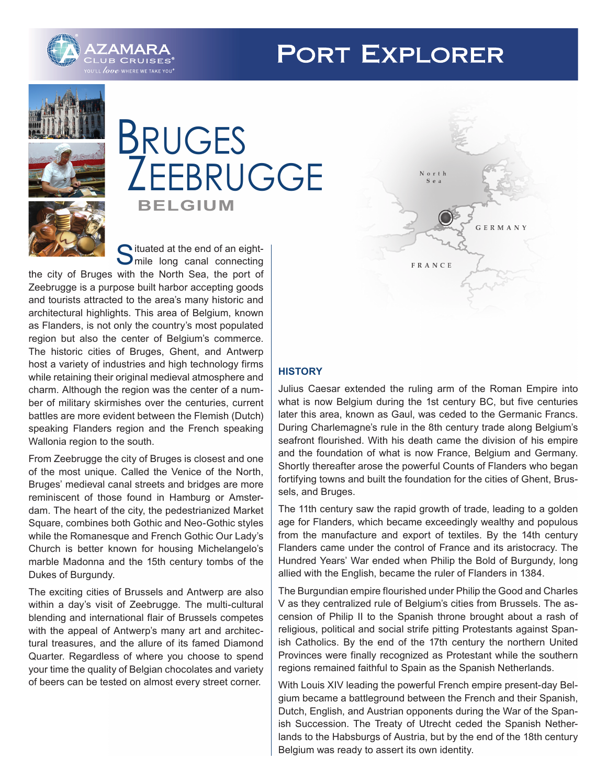# **PORT EXPLORER**





# **BELGIUM** BRUGES ZEEBRUGGE

Situated at the end of an eight-<br>Smile long canal connecting

the city of Bruges with the North Sea, the port of Zeebrugge is a purpose built harbor accepting goods and tourists attracted to the area's many historic and architectural highlights. This area of Belgium, known as Flanders, is not only the country's most populated region but also the center of Belgium's commerce. The historic cities of Bruges, Ghent, and Antwerp host a variety of industries and high technology firms while retaining their original medieval atmosphere and charm. Although the region was the center of a number of military skirmishes over the centuries, current battles are more evident between the Flemish (Dutch) speaking Flanders region and the French speaking Wallonia region to the south.

From Zeebrugge the city of Bruges is closest and one of the most unique. Called the Venice of the North, Bruges' medieval canal streets and bridges are more reminiscent of those found in Hamburg or Amsterdam. The heart of the city, the pedestrianized Market Square, combines both Gothic and Neo-Gothic styles while the Romanesque and French Gothic Our Lady's Church is better known for housing Michelangelo's marble Madonna and the 15th century tombs of the Dukes of Burgundy.

The exciting cities of Brussels and Antwerp are also within a day's visit of Zeebrugge. The multi-cultural blending and international flair of Brussels competes with the appeal of Antwerp's many art and architectural treasures, and the allure of its famed Diamond Quarter. Regardless of where you choose to spend your time the quality of Belgian chocolates and variety of beers can be tested on almost every street corner.



# **HISTORY**

Julius Caesar extended the ruling arm of the Roman Empire into what is now Belgium during the 1st century BC, but five centuries later this area, known as Gaul, was ceded to the Germanic Francs. During Charlemagne's rule in the 8th century trade along Belgium's seafront flourished. With his death came the division of his empire and the foundation of what is now France, Belgium and Germany. Shortly thereafter arose the powerful Counts of Flanders who began fortifying towns and built the foundation for the cities of Ghent, Brussels, and Bruges.

The 11th century saw the rapid growth of trade, leading to a golden age for Flanders, which became exceedingly wealthy and populous from the manufacture and export of textiles. By the 14th century Flanders came under the control of France and its aristocracy. The Hundred Years' War ended when Philip the Bold of Burgundy, long allied with the English, became the ruler of Flanders in 1384.

The Burgundian empire flourished under Philip the Good and Charles V as they centralized rule of Belgium's cities from Brussels. The ascension of Philip II to the Spanish throne brought about a rash of religious, political and social strife pitting Protestants against Spanish Catholics. By the end of the 17th century the northern United Provinces were finally recognized as Protestant while the southern regions remained faithful to Spain as the Spanish Netherlands.

With Louis XIV leading the powerful French empire present-day Belgium became a battleground between the French and their Spanish, Dutch, English, and Austrian opponents during the War of the Spanish Succession. The Treaty of Utrecht ceded the Spanish Netherlands to the Habsburgs of Austria, but by the end of the 18th century Belgium was ready to assert its own identity.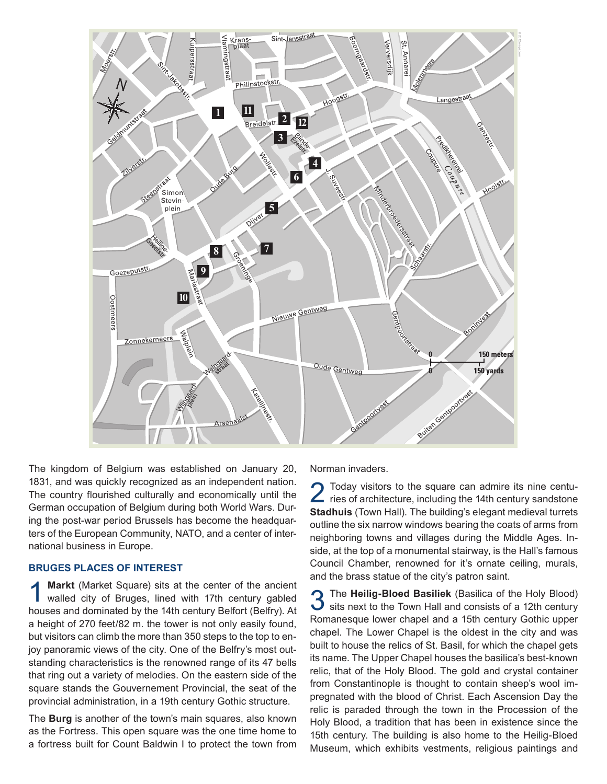

The kingdom of Belgium was established on January 20, 1831, and was quickly recognized as an independent nation. The country flourished culturally and economically until the German occupation of Belgium during both World Wars. During the post-war period Brussels has become the headquarters of the European Community, NATO, and a center of international business in Europe.

#### **BRUGES PLACES OF INTEREST**

Markt (Market Square) sits at the center of the ancient walled city of Bruges, lined with 17th century gabled houses and dominated by the 14th century Belfort (Belfry). At a height of 270 feet/82 m. the tower is not only easily found, but visitors can climb the more than 350 steps to the top to enjoy panoramic views of the city. One of the Belfry's most outstanding characteristics is the renowned range of its 47 bells that ring out a variety of melodies. On the eastern side of the square stands the Gouvernement Provincial, the seat of the provincial administration, in a 19th century Gothic structure.

The **Burg** is another of the town's main squares, also known as the Fortress. This open square was the one time home to a fortress built for Count Baldwin I to protect the town from Norman invaders.

2 Today visitors to the square can admire its nine centu-<br>ries of architecture, including the 14th century sandstone **Stadhuis** (Town Hall). The building's elegant medieval turrets outline the six narrow windows bearing the coats of arms from neighboring towns and villages during the Middle Ages. Inside, at the top of a monumental stairway, is the Hall's famous Council Chamber, renowned for it's ornate ceiling, murals, and the brass statue of the city's patron saint.

3 The **Heilig-Bloed Basiliek** (Basilica of the Holy Blood) sits next to the Town Hall and consists of a 12th century Romanesque lower chapel and a 15th century Gothic upper chapel. The Lower Chapel is the oldest in the city and was built to house the relics of St. Basil, for which the chapel gets its name. The Upper Chapel houses the basilica's best-known relic, that of the Holy Blood. The gold and crystal container from Constantinople is thought to contain sheep's wool impregnated with the blood of Christ. Each Ascension Day the relic is paraded through the town in the Procession of the Holy Blood, a tradition that has been in existence since the 15th century. The building is also home to the Heilig-Bloed Museum, which exhibits vestments, religious paintings and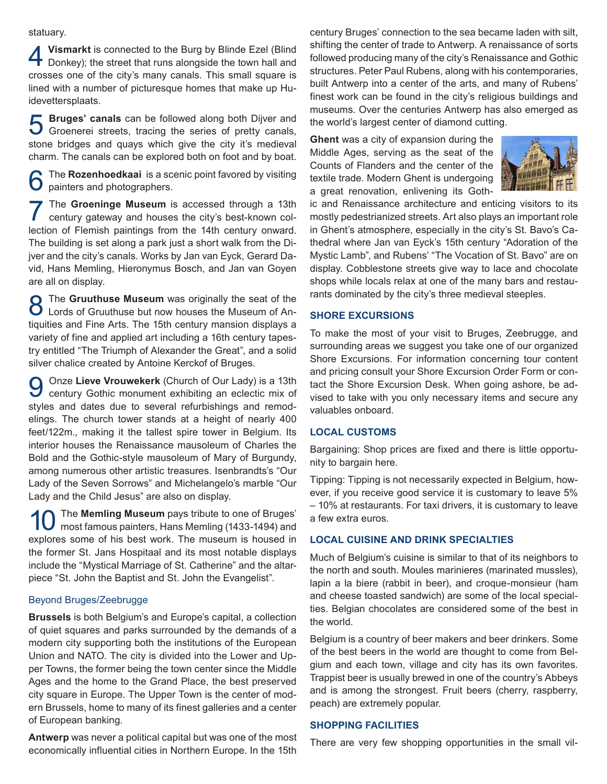statuary.

**4 Vismarkt** is connected to the Burg by Blinde Ezel (Blind Donkey); the street that runs alongside the town hall and crosses one of the city's many canals. This small square is lined with a number of picturesque homes that make up Huidevettersplaats.

5 **Bruges' canals** can be followed along both Dijver and Groenerei streets, tracing the series of pretty canals, stone bridges and quays which give the city it's medieval charm. The canals can be explored both on foot and by boat.

The **Rozenhoedkaai** is a scenic point favored by visiting painters and photographers.

The Groeninge Museum is accessed through a 13th century gateway and houses the city's best-known collection of Flemish paintings from the 14th century onward. The building is set along a park just a short walk from the Dijver and the city's canals. Works by Jan van Eyck, Gerard David, Hans Memling, Hieronymus Bosch, and Jan van Goyen are all on display.

**8** The **Gruuthuse Museum** was originally the seat of the Lords of Gruuthuse but now houses the Museum of Antiquities and Fine Arts. The 15th century mansion displays a variety of fine and applied art including a 16th century tapestry entitled "The Triumph of Alexander the Great", and a solid silver chalice created by Antoine Kerckof of Bruges.

9 Onze **Lieve Vrouwekerk** (Church of Our Lady) is a 13th century Gothic monument exhibiting an eclectic mix of styles and dates due to several refurbishings and remodelings. The church tower stands at a height of nearly 400 feet/122m., making it the tallest spire tower in Belgium. Its interior houses the Renaissance mausoleum of Charles the Bold and the Gothic-style mausoleum of Mary of Burgundy, among numerous other artistic treasures. Isenbrandts's "Our Lady of the Seven Sorrows" and Michelangelo's marble "Our Lady and the Child Jesus" are also on display.

**10** The **Memling Museum** pays tribute to one of Bruges' most famous painters, Hans Memling (1433-1494) and explores some of his best work. The museum is housed in the former St. Jans Hospitaal and its most notable displays include the "Mystical Marriage of St. Catherine" and the altarpiece "St. John the Baptist and St. John the Evangelist".

#### Beyond Bruges/Zeebrugge

**Brussels** is both Belgium's and Europe's capital, a collection of quiet squares and parks surrounded by the demands of a modern city supporting both the institutions of the European Union and NATO. The city is divided into the Lower and Upper Towns, the former being the town center since the Middle Ages and the home to the Grand Place, the best preserved city square in Europe. The Upper Town is the center of modern Brussels, home to many of its finest galleries and a center of European banking.

**Antwerp** was never a political capital but was one of the most economically influential cities in Northern Europe. In the 15th

century Bruges' connection to the sea became laden with silt, shifting the center of trade to Antwerp. A renaissance of sorts followed producing many of the city's Renaissance and Gothic structures. Peter Paul Rubens, along with his contemporaries, built Antwerp into a center of the arts, and many of Rubens' finest work can be found in the city's religious buildings and museums. Over the centuries Antwerp has also emerged as the world's largest center of diamond cutting.

**Ghent** was a city of expansion during the Middle Ages, serving as the seat of the Counts of Flanders and the center of the textile trade. Modern Ghent is undergoing a great renovation, enlivening its Goth-



ic and Renaissance architecture and enticing visitors to its mostly pedestrianized streets. Art also plays an important role in Ghent's atmosphere, especially in the city's St. Bavo's Cathedral where Jan van Eyck's 15th century "Adoration of the Mystic Lamb", and Rubens' "The Vocation of St. Bavo" are on display. Cobblestone streets give way to lace and chocolate shops while locals relax at one of the many bars and restaurants dominated by the city's three medieval steeples.

## **SHORE EXCURSIONS**

To make the most of your visit to Bruges, Zeebrugge, and surrounding areas we suggest you take one of our organized Shore Excursions. For information concerning tour content and pricing consult your Shore Excursion Order Form or contact the Shore Excursion Desk. When going ashore, be advised to take with you only necessary items and secure any valuables onboard.

# **LOCAL CUSTOMS**

Bargaining: Shop prices are fixed and there is little opportunity to bargain here.

Tipping: Tipping is not necessarily expected in Belgium, however, if you receive good service it is customary to leave 5% – 10% at restaurants. For taxi drivers, it is customary to leave a few extra euros.

# **LOCAL CUISINE AND DRINK SPECIALTIES**

Much of Belgium's cuisine is similar to that of its neighbors to the north and south. Moules marinieres (marinated mussles), lapin a la biere (rabbit in beer), and croque-monsieur (ham and cheese toasted sandwich) are some of the local specialties. Belgian chocolates are considered some of the best in the world.

Belgium is a country of beer makers and beer drinkers. Some of the best beers in the world are thought to come from Belgium and each town, village and city has its own favorites. Trappist beer is usually brewed in one of the country's Abbeys and is among the strongest. Fruit beers (cherry, raspberry, peach) are extremely popular.

# **SHOPPING FACILITIES**

There are very few shopping opportunities in the small vil-